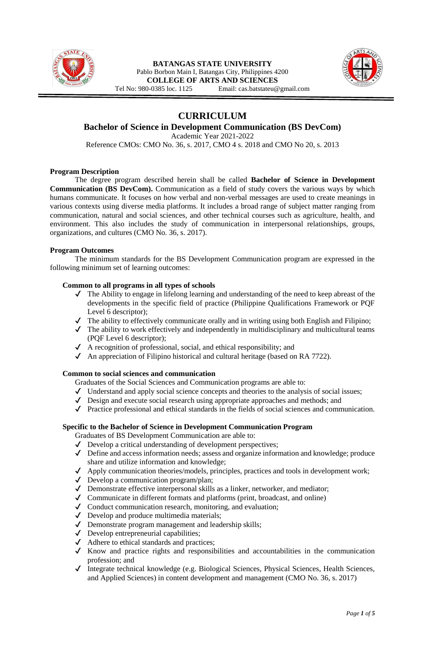



**CURRICULUM**

# **Bachelor of Science in Development Communication (BS DevCom)**

Academic Year 2021-2022

Reference CMOs: CMO No. 36, s. 2017, CMO 4 s. 2018 and CMO No 20, s. 2013

#### **Program Description**

The degree program described herein shall be called **Bachelor of Science in Development Communication (BS DevCom).** Communication as a field of study covers the various ways by which humans communicate. It focuses on how verbal and non-verbal messages are used to create meanings in various contexts using diverse media platforms. It includes a broad range of subject matter ranging from communication, natural and social sciences, and other technical courses such as agriculture, health, and environment. This also includes the study of communication in interpersonal relationships, groups, organizations, and cultures (CMO No. 36, s. 2017).

#### **Program Outcomes**

The minimum standards for the BS Development Communication program are expressed in the following minimum set of learning outcomes:

#### **Common to all programs in all types of schools**

- ✔ The Ability to engage in lifelong learning and understanding of the need to keep abreast of the developments in the specific field of practice (Philippine Qualifications Framework or PQF Level 6 descriptor);
- ✔ The ability to effectively communicate orally and in writing using both English and Filipino;
- ✔ The ability to work effectively and independently in multidisciplinary and multicultural teams (PQF Level 6 descriptor);
- ✔ A recognition of professional, social, and ethical responsibility; and
- $\blacklozenge$  An appreciation of Filipino historical and cultural heritage (based on RA 7722).

#### **Common to social sciences and communication**

Graduates of the Social Sciences and Communication programs are able to:

- ✔ Understand and apply social science concepts and theories to the analysis of social issues;
- $\checkmark$  Design and execute social research using appropriate approaches and methods; and
- ✔ Practice professional and ethical standards in the fields of social sciences and communication.

### **Specific to the Bachelor of Science in Development Communication Program**

Graduates of BS Development Communication are able to:

- ✔ Develop a critical understanding of development perspectives;
- ✔ Define and access information needs; assess and organize information and knowledge; produce share and utilize information and knowledge;
- ✔ Apply communication theories/models, principles, practices and tools in development work;
- ✔ Develop a communication program/plan;
- ✔ Demonstrate effective interpersonal skills as a linker, networker, and mediator;
- ✔ Communicate in different formats and platforms (print, broadcast, and online)
- ✔ Conduct communication research, monitoring, and evaluation;
- ✔ Develop and produce multimedia materials;
- ✔ Demonstrate program management and leadership skills;
- ✔ Develop entrepreneurial capabilities;
- ✔ Adhere to ethical standards and practices;
- ✔ Know and practice rights and responsibilities and accountabilities in the communication profession; and
- ✔ Integrate technical knowledge (e.g. Biological Sciences, Physical Sciences, Health Sciences, and Applied Sciences) in content development and management (CMO No. 36, s. 2017)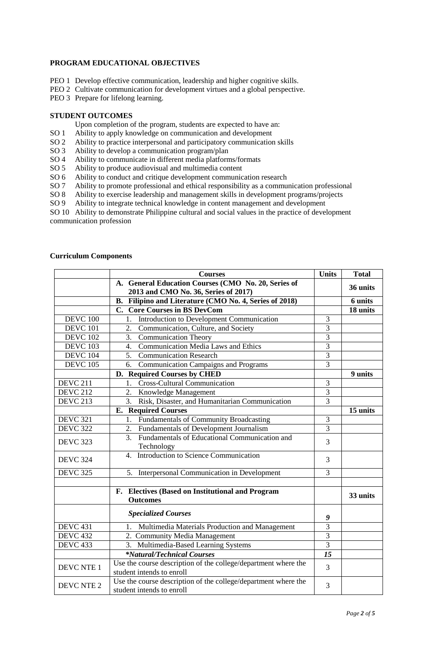## **PROGRAM EDUCATIONAL OBJECTIVES**

- PEO 1 Develop effective communication, leadership and higher cognitive skills.
- PEO 2 Cultivate communication for development virtues and a global perspective.
- PEO 3 Prepare for lifelong learning.

#### **STUDENT OUTCOMES**

Upon completion of the program, students are expected to have an:

- SO 1 Ability to apply knowledge on communication and development<br>SO 2 Ability to practice interpersonal and participatory communication
- Ability to practice interpersonal and participatory communication skills
- SO 3 Ability to develop a communication program/plan
- SO 4 Ability to communicate in different media platforms/formats
- SO 5 Ability to produce audiovisual and multimedia content
- SO 6 Ability to conduct and critique development communication research
- SO 7 Ability to promote professional and ethical responsibility as a communication professional
- SO 8 Ability to exercise leadership and management skills in development programs/projects
- SO 9 Ability to integrate technical knowledge in content management and development

SO 10 Ability to demonstrate Philippine cultural and social values in the practice of development communication profession

#### **Curriculum Components**

|                   | <b>Courses</b>                                                                              | <b>Units</b>   | <b>Total</b> |
|-------------------|---------------------------------------------------------------------------------------------|----------------|--------------|
|                   | A. General Education Courses (CMO No. 20, Series of                                         |                | 36 units     |
|                   | 2013 and CMO No. 36, Series of 2017)                                                        |                |              |
|                   | B. Filipino and Literature (CMO No. 4, Series of 2018)                                      |                | 6 units      |
|                   | C. Core Courses in BS DevCom                                                                |                | 18 units     |
| <b>DEVC 100</b>   | Introduction to Development Communication                                                   | $\mathfrak{Z}$ |              |
| <b>DEVC 101</b>   | Communication, Culture, and Society<br>2.                                                   | $\overline{3}$ |              |
| <b>DEVC 102</b>   | <b>Communication Theory</b><br>3.                                                           | $\overline{3}$ |              |
| <b>DEVC 103</b>   | <b>Communication Media Laws and Ethics</b><br>4.                                            | 3              |              |
| <b>DEVC 104</b>   | Communication Research<br>5.                                                                | 3              |              |
| <b>DEVC 105</b>   | <b>Communication Campaigns and Programs</b><br>6.                                           | $\overline{3}$ |              |
|                   | D. Required Courses by CHED                                                                 |                | 9 units      |
| <b>DEVC 211</b>   | <b>Cross-Cultural Communication</b><br>1.                                                   | 3              |              |
| <b>DEVC 212</b>   | 2.<br>Knowledge Management                                                                  | $\overline{3}$ |              |
| <b>DEVC 213</b>   | Risk, Disaster, and Humanitarian Communication<br>3.                                        | $\overline{3}$ |              |
|                   | <b>E.</b> Required Courses                                                                  |                | 15 units     |
| <b>DEVC 321</b>   | Fundamentals of Community Broadcasting<br>1.                                                | $\mathfrak{Z}$ |              |
| <b>DEVC 322</b>   | 2. Fundamentals of Development Journalism                                                   | $\overline{3}$ |              |
| <b>DEVC 323</b>   | $\overline{3}$ .<br>Fundamentals of Educational Communication and<br>Technology             | 3              |              |
| <b>DEVC 324</b>   | Introduction to Science Communication<br>$\overline{4}$                                     | 3              |              |
| <b>DEVC 325</b>   | 5. Interpersonal Communication in Development                                               | 3              |              |
|                   |                                                                                             |                |              |
|                   | F. Electives (Based on Institutional and Program<br><b>Outcomes</b>                         |                | 33 units     |
|                   | <b>Specialized Courses</b>                                                                  | 9              |              |
| <b>DEVC 431</b>   | Multimedia Materials Production and Management<br>1.                                        | $\overline{3}$ |              |
| <b>DEVC 432</b>   | 2. Community Media Management                                                               | $\overline{3}$ |              |
| <b>DEVC 433</b>   | 3. Multimedia-Based Learning Systems                                                        | $\overline{3}$ |              |
|                   | <i>*Natural/Technical Courses</i>                                                           | 15             |              |
| <b>DEVC NTE 1</b> | Use the course description of the college/department where the<br>student intends to enroll | 3              |              |
| DEVC NTE 2        | Use the course description of the college/department where the<br>student intends to enroll | 3              |              |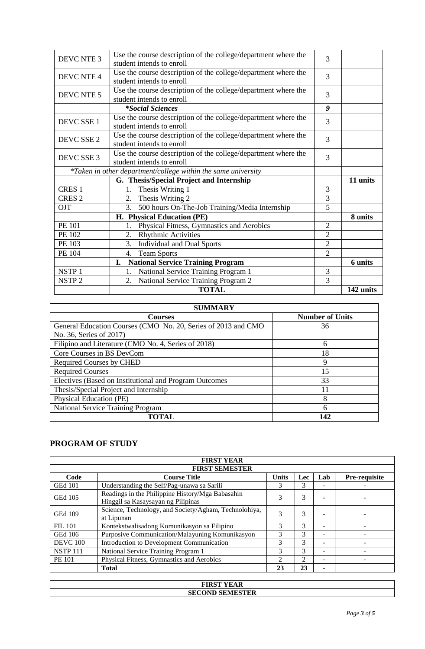| DEVC NTE 3                                                    | Use the course description of the college/department where the<br>student intends to enroll | 3              |           |
|---------------------------------------------------------------|---------------------------------------------------------------------------------------------|----------------|-----------|
| DEVC NTE 4                                                    | Use the course description of the college/department where the<br>student intends to enroll | 3              |           |
| DEVC NTE 5                                                    | Use the course description of the college/department where the<br>student intends to enroll | 3              |           |
|                                                               | <i>*Social Sciences</i>                                                                     | 9              |           |
| DEVC SSE 1                                                    | Use the course description of the college/department where the<br>student intends to enroll | 3              |           |
| DEVC SSE 2                                                    | Use the course description of the college/department where the<br>student intends to enroll | 3              |           |
| DEVC SSE 3                                                    | Use the course description of the college/department where the<br>student intends to enroll | 3              |           |
| *Taken in other department/college within the same university |                                                                                             |                |           |
|                                                               | G. Thesis/Special Project and Internship                                                    |                | 11 units  |
| CRES <sub>1</sub>                                             | Thesis Writing 1<br>1.                                                                      | 3              |           |
| CRES <sub>2</sub>                                             | 2. Thesis Writing 2                                                                         | 3              |           |
| OJT                                                           | 500 hours On-The-Job Training/Media Internship<br>3.                                        | 5              |           |
|                                                               | H. Physical Education (PE)                                                                  |                | 8 units   |
| <b>PE 101</b>                                                 | Physical Fitness, Gymnastics and Aerobics<br>1.                                             | $\mathfrak{2}$ |           |
| PE 102                                                        | <b>Rhythmic Activities</b><br>2.                                                            | $\overline{2}$ |           |
| PE 103                                                        | <b>Individual and Dual Sports</b><br>3.                                                     | $\overline{2}$ |           |
| PE 104                                                        | <b>Team Sports</b><br>4.                                                                    | $\overline{2}$ |           |
|                                                               | <b>National Service Training Program</b><br>I.                                              |                | 6 units   |
| NSTP <sub>1</sub>                                             | National Service Training Program 1                                                         | 3              |           |
| NSTP <sub>2</sub>                                             | National Service Training Program 2<br>2.                                                   | 3              |           |
|                                                               | <b>TOTAL</b>                                                                                |                | 142 units |

| <b>SUMMARY</b>                                                |                        |  |  |  |  |  |
|---------------------------------------------------------------|------------------------|--|--|--|--|--|
| <b>Courses</b>                                                | <b>Number of Units</b> |  |  |  |  |  |
| General Education Courses (CMO No. 20, Series of 2013 and CMO | 36                     |  |  |  |  |  |
| No. 36, Series of 2017)                                       |                        |  |  |  |  |  |
| Filipino and Literature (CMO No. 4, Series of 2018)           | 6                      |  |  |  |  |  |
| Core Courses in BS DevCom                                     | 18                     |  |  |  |  |  |
| <b>Required Courses by CHED</b>                               | 9                      |  |  |  |  |  |
| <b>Required Courses</b>                                       | 15                     |  |  |  |  |  |
| Electives (Based on Institutional and Program Outcomes        | 33                     |  |  |  |  |  |
| Thesis/Special Project and Internship                         | 11                     |  |  |  |  |  |
| Physical Education (PE)                                       | 8                      |  |  |  |  |  |
| <b>National Service Training Program</b>                      | 6                      |  |  |  |  |  |
| <b>TOTAL</b>                                                  | 142                    |  |  |  |  |  |

# **PROGRAM OF STUDY**

| <b>FIRST YEAR</b>     |                                                                                        |              |                             |                          |                      |  |
|-----------------------|----------------------------------------------------------------------------------------|--------------|-----------------------------|--------------------------|----------------------|--|
| <b>FIRST SEMESTER</b> |                                                                                        |              |                             |                          |                      |  |
| Code                  | <b>Course Title</b>                                                                    | <b>Units</b> | Lec                         | Lab                      | <b>Pre-requisite</b> |  |
| <b>GEd 101</b>        | Understanding the Self/Pag-unawa sa Sarili                                             |              | 3                           |                          |                      |  |
| <b>GEd 105</b>        | Readings in the Philippine History/Mga Babasahin<br>Hinggil sa Kasaysayan ng Pilipinas | 3            | 3                           |                          |                      |  |
| <b>GEd 109</b>        | Science, Technology, and Society/Agham, Technolohiya,<br>at Lipunan                    |              | 3                           |                          |                      |  |
| <b>FIL 101</b>        | Kontekstwalisadong Komunikasyon sa Filipino                                            | 3            | 3                           | $\overline{\phantom{a}}$ |                      |  |
| GEd 106               | Purposive Communication/Malayuning Komunikasyon                                        | 3            | 3                           |                          |                      |  |
| <b>DEVC</b> 100       | Introduction to Development Communication                                              | 3            | $\mathcal{R}$               |                          |                      |  |
| <b>NSTP 111</b>       | National Service Training Program 1                                                    | 3            | $\mathcal{R}$               |                          |                      |  |
| <b>PE 101</b>         | Physical Fitness, Gymnastics and Aerobics                                              | 2            | $\mathcal{D}_{\mathcal{A}}$ |                          |                      |  |
|                       | <b>Total</b>                                                                           | 23           | 23                          |                          |                      |  |

|                        | <b>DIDOR</b><br>$\mathbf{r}$<br>۹К |  |
|------------------------|------------------------------------|--|
| <b>SECOND SEMESTER</b> |                                    |  |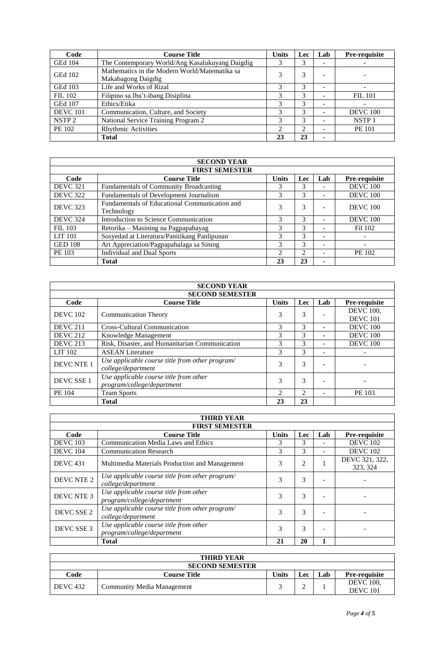| Code              | <b>Course Title</b>                                                 | <b>Units</b> | <b>Lec</b> | Lab | Pre-requisite     |
|-------------------|---------------------------------------------------------------------|--------------|------------|-----|-------------------|
| <b>GEd 104</b>    | The Contemporary World/Ang Kasalukuyang Daigdig                     |              | 3          | -   |                   |
| <b>GEd 102</b>    | Mathematics in the Modern World/Matematika sa<br>Makabagong Daigdig | 3            | 3          | -   |                   |
| <b>GEd 103</b>    | Life and Works of Rizal                                             |              | 3          | -   |                   |
| <b>FIL 102</b>    | Filipino sa Iba't-ibang Disiplina                                   | 3            | 3          | -   | <b>FIL 101</b>    |
| <b>GEd 107</b>    | Ethics/Etika                                                        |              | 3          | -   |                   |
| <b>DEVC</b> 101   | Communication, Culture, and Society                                 | 3            | 3          | ۰   | <b>DEVC</b> 100   |
| NSTP <sub>2</sub> | National Service Training Program 2                                 | 3            | 3          | -   | NSTP <sub>1</sub> |
| PE 102            | <b>Rhythmic Activities</b>                                          | $\gamma$     | ◠          |     | <b>PE 101</b>     |
|                   | <b>Total</b>                                                        | 23           | 23         |     |                   |

| <b>SECOND YEAR</b>    |                                                             |                |     |                          |                          |  |
|-----------------------|-------------------------------------------------------------|----------------|-----|--------------------------|--------------------------|--|
| <b>FIRST SEMESTER</b> |                                                             |                |     |                          |                          |  |
| Code                  | <b>Course Title</b>                                         | <b>Units</b>   | Lec | Lab                      | Pre-requisite            |  |
| <b>DEVC 321</b>       | <b>Fundamentals of Community Broadcasting</b>               | 3              | 3   |                          | <b>DEVC 100</b>          |  |
| <b>DEVC 322</b>       | Fundamentals of Development Journalism                      | 3              | 3   | ۰                        | <b>DEVC</b> 100          |  |
| DEVC 323              | Fundamentals of Educational Communication and<br>Technology | 3              | 3   | $\overline{\phantom{a}}$ | <b>DEVC</b> 100          |  |
| <b>DEVC 324</b>       | Introduction to Science Communication                       | $\mathcal{F}$  | 3   |                          | <b>DEVC</b> 100          |  |
| <b>FIL 103</b>        | Retorika – Masining na Pagpapahayag                         | 3              | 3   | $\overline{\phantom{a}}$ | Fil 102                  |  |
| <b>LIT 101</b>        | Sosyedad at Literatura/Panitikang Panlipunan                | 3              | 3   | -                        | $\overline{\phantom{a}}$ |  |
| <b>GED 108</b>        | Art Appreciation/Pagpapahalaga sa Sining                    | 3              | 3   |                          |                          |  |
| PE 103                | <b>Individual and Dual Sports</b>                           | $\mathfrak{D}$ | ◠   |                          | PE 102                   |  |
|                       | <b>Total</b>                                                | 23             | 23  | $\blacksquare$           |                          |  |

| <b>SECOND YEAR</b>     |                                                                       |              |                             |     |                                     |  |
|------------------------|-----------------------------------------------------------------------|--------------|-----------------------------|-----|-------------------------------------|--|
| <b>SECOND SEMESTER</b> |                                                                       |              |                             |     |                                     |  |
| Code                   | <b>Course Title</b>                                                   | <b>Units</b> | Lec                         | Lab | <b>Pre-requisite</b>                |  |
| <b>DEVC</b> 102        | <b>Communication Theory</b>                                           | 3            | 3                           |     | <b>DEVC</b> 100,<br><b>DEVC</b> 101 |  |
| <b>DEVC 211</b>        | <b>Cross-Cultural Communication</b>                                   | 3            | $\mathcal{R}$               |     | <b>DEVC</b> 100                     |  |
| <b>DEVC 212</b>        | Knowledge Management                                                  | 3            | $\mathcal{R}$               |     | <b>DEVC</b> 100                     |  |
| <b>DEVC 213</b>        | Risk, Disaster, and Humanitarian Communication                        | 3            | $\mathcal{R}$               |     | <b>DEVC</b> 100                     |  |
| <b>LIT 102</b>         | <b>ASEAN</b> Literature                                               | 3            | $\mathcal{R}$               |     |                                     |  |
| <b>DEVC NTE 1</b>      | Use applicable course title from other program/<br>college/department | 3            | 3                           |     |                                     |  |
| DEVC SSE 1             | Use applicable course title from other<br>program/college/department  | 3            | 3                           |     |                                     |  |
| PE 104                 | <b>Team Sports</b>                                                    | 2            | $\mathcal{D}_{\mathcal{L}}$ |     | PE 103                              |  |
|                        | <b>Total</b>                                                          | 23           | 23                          |     |                                     |  |

| <b>THIRD YEAR</b>     |                                                 |              |            |     |                 |  |
|-----------------------|-------------------------------------------------|--------------|------------|-----|-----------------|--|
| <b>FIRST SEMESTER</b> |                                                 |              |            |     |                 |  |
| Code                  | <b>Course Title</b>                             | <b>Units</b> | <b>Lec</b> | Lab | Pre-requisite   |  |
| <b>DEVC</b> 103       | Communication Media Laws and Ethics             | 3            | 3          |     | <b>DEVC</b> 102 |  |
| <b>DEVC</b> 104       | <b>Communication Research</b>                   | 3            | 3          |     | <b>DEVC</b> 102 |  |
| <b>DEVC</b> 431       | Multimedia Materials Production and Management  | 3            | 2          |     | DEVC 321, 322,  |  |
|                       |                                                 |              |            |     | 323, 324        |  |
| DEVC NTE 2            | Use applicable course title from other program/ | 3            | 3          |     |                 |  |
|                       | college/department                              |              |            |     |                 |  |
| DEVC NTE 3            | Use applicable course title from other          |              | 3<br>3     |     |                 |  |
|                       | program/college/department                      |              |            |     |                 |  |
| DEVC SSE 2            | Use applicable course title from other program/ | 3            |            | 3   |                 |  |
|                       | college/department                              |              |            |     |                 |  |
| DEVC SSE 3            | Use applicable course title from other          | 3            | 3          |     |                 |  |
|                       | program/college/department                      |              |            |     |                 |  |
|                       | <b>Total</b>                                    | 21           | 20         |     |                 |  |

|                 | <b>THIRD YEAR</b>          |       |              |     |                                     |
|-----------------|----------------------------|-------|--------------|-----|-------------------------------------|
|                 | <b>SECOND SEMESTER</b>     |       |              |     |                                     |
| Code            | Course Title               | Units | $\mathbf{c}$ | ∟ab | <b>Pre-requisite</b>                |
| <b>DEVC</b> 432 | Community Media Management |       |              |     | <b>DEVC</b> 100,<br><b>DEVC</b> 101 |